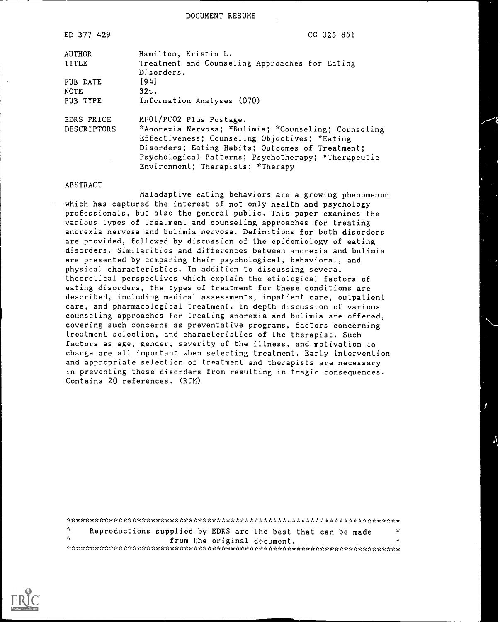DOCUMENT RESUME

| ED 377 429    | CG 025 851                                                                                              |
|---------------|---------------------------------------------------------------------------------------------------------|
| <b>AUTHOR</b> | Hamilton, Kristin L.                                                                                    |
| TITLE         | Treatment and Counseling Approaches for Eating<br>D. sorders.                                           |
| PUB DATE      | [94]                                                                                                    |
| <b>NOTE</b>   | $32k$ .                                                                                                 |
| PUB TYPE      | Infermation Analyses (070)                                                                              |
| EDRS PRICE    | MF01/PC02 Plus Postage.                                                                                 |
| DESCRIPTORS   | *Anorexia Nervosa; *Bulimia; *Counseling; Counseling                                                    |
|               | Effectiveness; Counseling Objectives; *Eating                                                           |
|               | Disorders; Eating Habits; Outcomes of Treatment;<br>Psychological Patterns; Psychotherapy; *Therapeutic |
|               | Environment; Therapists; *Therapy                                                                       |
|               |                                                                                                         |

#### ABSTRACT

Maladaptive eating behaviors are a growing phenomenon which has captured the interest of not only health and psychology professionals, but also the general public. This paper examines the various types of treatment and counseling approaches for treating anorexia nervosa and bulimia nervosa. Definitions for both disorders are provided, followed by discussion of the epidemiology of eating disorders. Similarities and differences between anorexia and bulimia are presented by comparing their psychological, behavioral, and physical characteristics. In addition to discussing several theoretical perspectives which explain the etiological factors of eating disorders, the types of treatment for these conditions are described, including medical assessments, inpatient care, outpatient care, and pharmacological treatment. In-depth discussion of various counseling approaches for treating anorexia and bulimia are offered, covering such concerns as preventative programs, factors concerning treatment selection, and characteristics of the therapist. Such factors as age, gender, severity of the illness, and motivation to change are all important when selecting treatment. Early intervention and appropriate selection of treatment and therapists are necessary in preventing these disorders from resulting in tragic consequences. Contains 20 references. (RJM)

| - Se           | Reproductions supplied by EDRS are the best that can be made |                             |  | - Se |
|----------------|--------------------------------------------------------------|-----------------------------|--|------|
| <b>Section</b> |                                                              | from the original document. |  | A.   |
|                |                                                              |                             |  |      |

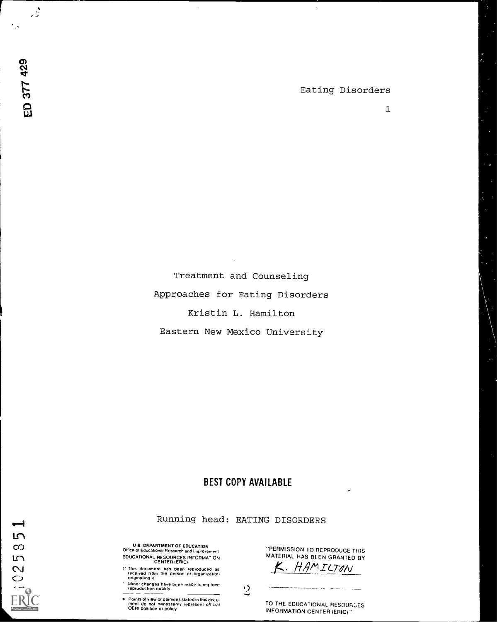$\ddot{\phantom{a}}$ 

 $\mathbf{1}$ 

Treatment and Counseling Approaches for Eating Disorders Kristin L. Hamilton Eastern New Mexico University

 $\bar{z}$ 

و<br>انتصاب

 $\mathcal{L}_{\mathcal{N}}$ 

ED 377 429

**LO**  $\infty$  $\sqrt{2}$ N  $\circ$ 

# BEST COPY AVAILABLE

Running head: EATING DISORDERS

U S. DEPARTMENT OF EDUCATION Ofhce of Educational Research and Improvement EDUCATIONAL RESOURCES INFORMATION CENTER (ERIC)

<sup>r'</sup> This document has been reproduced as<br>1.1.1.1.1.eived 1rom the person or organization<br>1.1.eriginaling.it

Minn. changes have been made to improve repruduction duality

Points of view or opinions staled in this docu-<br>ment : do .not. nor essarily: represent: official<br>OERI position or policy

-PERMISSION 10 REPRODUCE THIS MATERIAL HAS BEEN GRANTED BY<br>K. HAMILITON

 $\mathcal{L}$ 

TO THE EDUCATIONAL RESOURCES INFORMATION CENTER (ERIC)"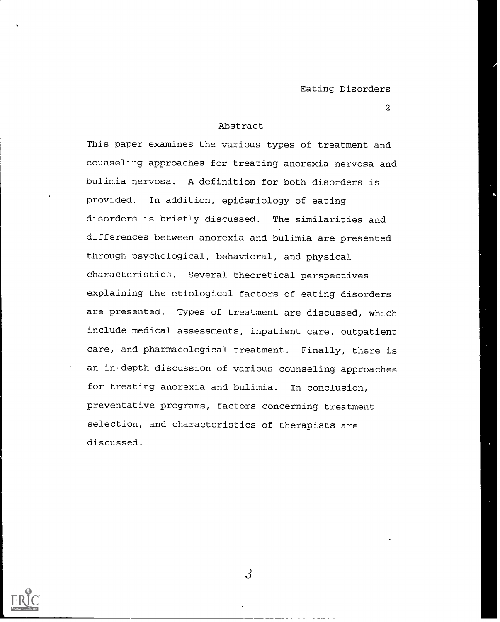#### Abstract

This paper examines the various types of treatment and counseling approaches for treating anorexia nervosa and bulimia nervosa. A definition for both disorders is provided. In addition, epidemiology of eating disorders is briefly discussed. The similarities and differences between anorexia and bulimia are presented through psychological, behavioral, and physical characteristics. Several theoretical perspectives explaining the etiological factors of eating disorders are presented. Types of treatment are discussed, which include medical assessments, inpatient care, outpatient care, and pharmacological treatment. Finally, there is an in-depth discussion of various counseling approaches for treating anorexia and bulimia. In conclusion, preventative programs, factors concerning treatment selection, and characteristics of therapists are discussed.

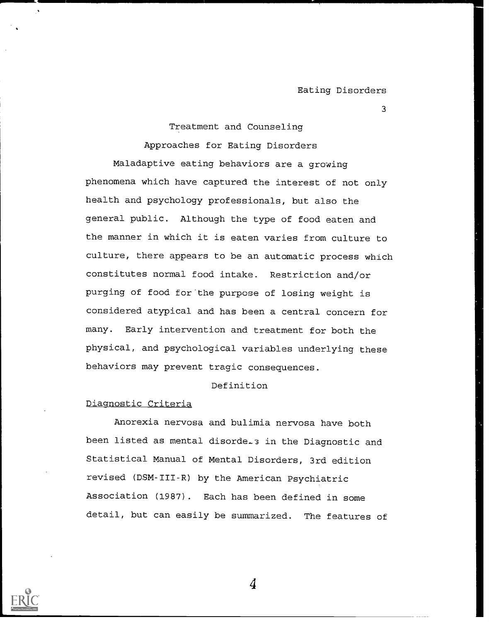Treatment and Counseling

Approaches for Eating Disorders

Maladaptive eating behaviors are a growing phenomena which have captured the interest of not only health and psychology professionals, but also the general public. Although the type of food eaten and the manner in which it is eaten varies from culture to culture, there appears to be an automatic process which constitutes normal food intake. Restriction and/or purging of food for the purpose of losing weight is considered atypical and has been a central concern for many. Early intervention and treatment for both the physical, and psychological variables underlying these behaviors may prevent tragic consequences.

# Definition

# Diagnostic Criteria

Anorexia nervosa and bulimia nervosa have both been listed as mental disorde..3 in the Diagnostic and Statistical Manual of Mental Disorders, 3rd edition revised (DSM-III-R) by the American Psychiatric Association (1987). Each has been defined in some detail, but can easily be summarized. The features of

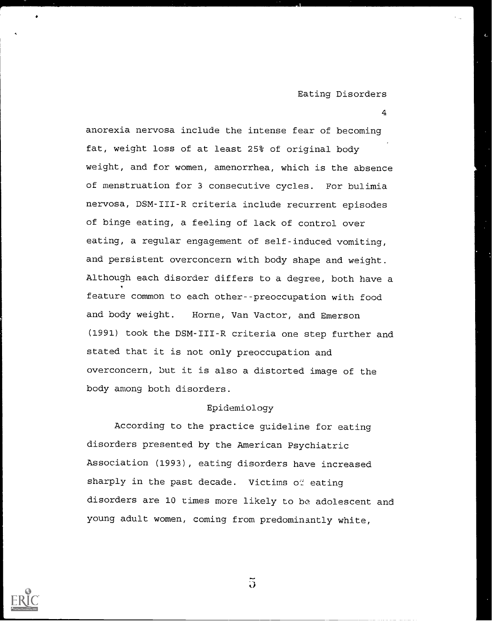4

anorexia nervosa include the intense fear of becoming fat, weight loss of at least 25% of original body weight, and for women, amenorrhea, which is the absence of menstruation for 3 consecutive cycles. For bulimia nervosa, DSM-III-R criteria include recurrent episodes of binge eating, a feeling of lack of control over eating, a regular engagement of self-induced vomiting, and persistent overconcern with body shape and weight. Although each disorder differs to a degree, both have a feature common to each other--preoccupation with food and body weight. Horne, Van Vactor, and Emerson (1991) took the DSM-III-R criteria one step further and stated that it is not only preoccupation and overconcern, but it is also a distorted image of the body among both disorders.

#### Epidemiology

According to the practice guideline for eating disorders presented by the American Psychiatric Association (1993), eating disorders have increased sharply in the past decade. Victims of eating disorders are 10 times more likely to be adolescent and young adult women, coming from predominantly white,



 $\tilde{\mathcal{D}}$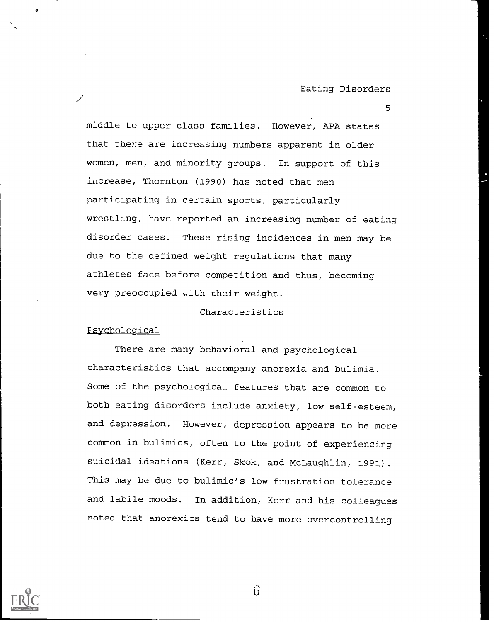5

middle to upper class families. However, APA states that there are increasing numbers apparent in older women, men, and minority groups. In support of this increase, Thornton (1990) has noted that men participating in certain sports, particularly wrestling, have reported an increasing number of eating disorder cases. These rising incidences in men may be due to the defined weight regulations that many athletes face before competition and thus, becoming very preoccupied with their weight.

## Characteristics

#### Psychological

There are many behavioral and psychological characteristics that accompany anorexia and bulimia. Some of the psychological features that are common to both eating disorders include anxiety, low self-esteem, and depression. However, depression appears to be more common in hulimics, often to the point of experiencing suicidal ideations (Kerr, Skok, and McLaughlin, 1991). This may be due to bulimic's low frustration tolerance and labile moods. In addition, Kerr and his colleagues noted that anorexics tend to have more overcontrolling



 $\ddot{\mathbf{b}}$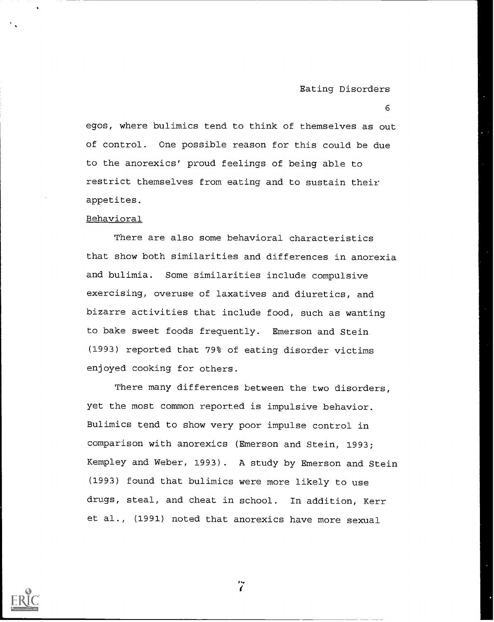6

egos, where bulimics tend to think of themselves as out of control. One possible reason for this could be due to the anorexics' proud feelings of being able to restrict themselves from eating and to sustain their appetites.

## Behavioral

There are also some behavioral characteristics that show both similarities and differences in anorexia and bulimia. Some similarities include compulsive exercising, overuse of laxatives and diuretics, and bizarre activities that include food, such as wanting to bake sweet foods frequently. Emerson and Stein (1993) reported that 79% of eating disorder victims enjoyed cooking for others.

There many differences between the two disorders, yet the most common reported is impulsive behavior. Bulimics tend to show very poor impulse control in comparison with anorexics (Emerson and Stein, 1993; Kempley and Weber, 1993). A study by Emerson and Stein (1993) found that bulimics were more likely to use drugs, steal, and cheat in school. In addition, Kerr et al., (1991) noted that anorexics have more sexual



 $\dddot{7}$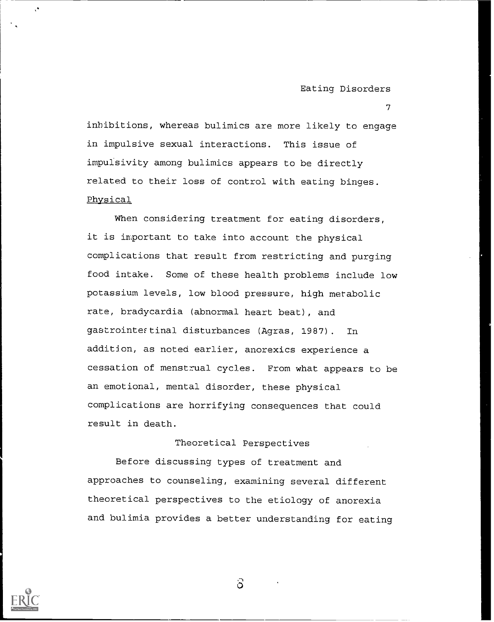7

inhibitions, whereas bulimics are more likely to engage in impulsive sexual interactions. This issue of impulsivity among bulimics appears to be directly related to their loss of control with eating binges. Physical

be cessation of menstrual cycles. From what appears to When considering treatment for eating disorders, it is important to take into account the physical complications that result from restricting and purging food intake. Some of these health problems include low potassium levels, low blood pressure, high metabolic rate, bradycardia (abnormal heart beat), and gastrointestinal disturbances (Agras, 1987). In addition, as noted earlier, anorexics experience a an emotional, mental disorder, these physical complications are horrifying consequences that could result in death.

# Theoretical Perspectives

Before discussing types of treatment and approaches to counseling, examining several different theoretical perspectives to the etiology of anorexia and bulimia provides a better understanding for eating



 $\cdot$ 

 $\delta$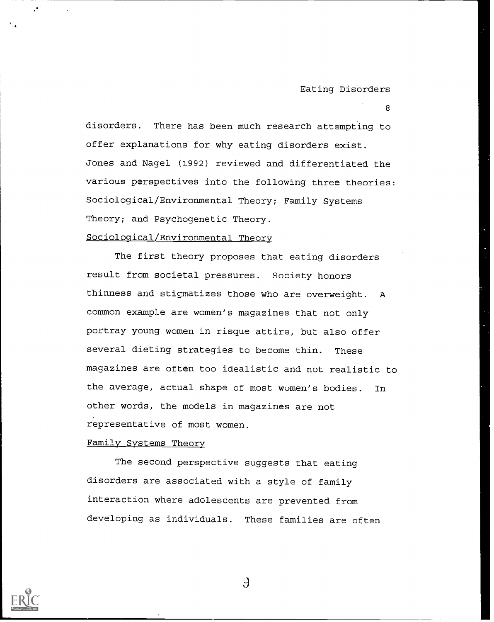disorders. There has been much research attempting to offer explanations for why eating disorders exist. Jones and Nagel (1992) reviewed and differentiated the various perspectives into the following three theories: Sociological/Environmental Theory; Family Systems Theory; and Psychogenetic Theory.

# Sociological/Environmental Theory

The first theory proposes that eating disorders result from societal pressures. Society honors thinness and stigmatizes those who are overweight. A common example are women's magazines that not only portray young women in risque attire, but also offer several dieting strategies to become thin. These magazines are often too idealistic and not realistic to the average, actual shape of most women's bodies. In other words, the models in magazines are not representative of most women.

#### Family Systems Theory

The second perspective suggests that eating disorders are associated with a style of family interaction where adolescents are prevented from developing as individuals. These families are often



 $\mathcal{A}$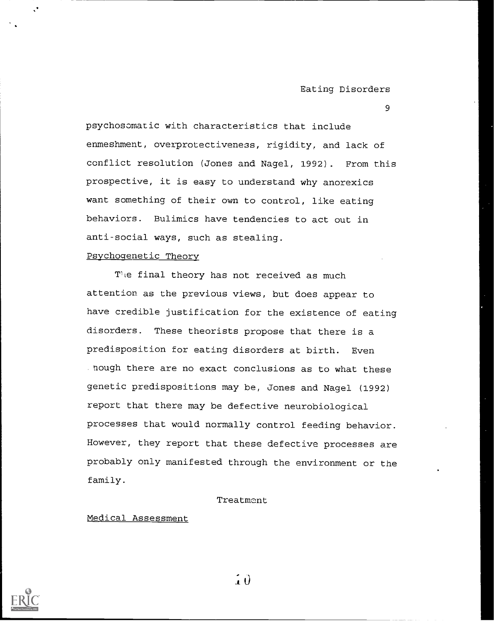psychosomatic with characteristics that include enmeshment, overprotectiveness, rigidity, and lack of conflict resolution (Jones and Nagel, 1992). From this prospective, it is easy to understand why anorexics want something of their own to control, like eating behaviors. Bulimics have tendencies to act out in anti-social ways, such as stealing.

#### Psychogenetic Theory

The final theory has not received as much attention as the previous views, but does appear to have credible justification for the existence of eating disorders. These theorists propose that there is a predisposition for eating disorders at birth. Even . hough there are no exact conclusions as to what these genetic predispositions may be, Jones and Nagel (1992) report that there may be defective neurobiological processes that would normally control feeding behavior. However, they report that these defective processes are probably only manifested through the environment or the family.

#### Treatment

# Medical Assessment

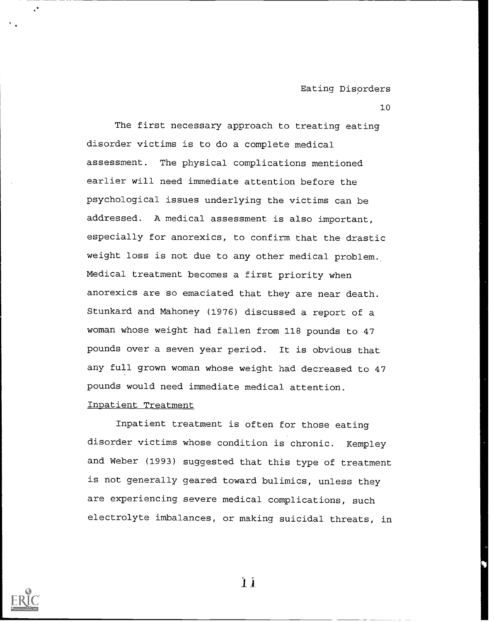The first necessary approach to treating eating disorder victims is to do a complete medical assessment. The physical complications mentioned earlier will need immediate attention before the psychological issues underlying the victims can be addressed. A medical assessment is also important, especially for anorexics, to confirm that the drastic weight loss is not due to any other medical problem. Medical treatment becomes a first priority when anorexics are so emaciated that they are near death. Stunkard and Mahoney (1976) discussed a report of a woman whose weight had fallen from 118 pounds to 47 pounds over a seven year period. It is obvious that any full grown woman whose weight had decreased to 47 pounds would need immediate medical attention.

#### Inpatient Treatment

Inpatient treatment is often for those eating disorder victims whose condition is chronic. Kempley and Weber (1993) suggested that this type of treatment is not generally geared toward bulimics, unless they are experiencing severe medical complications, such electrolyte imbalances, or making suicidal threats, in



 $\mathbf{1}$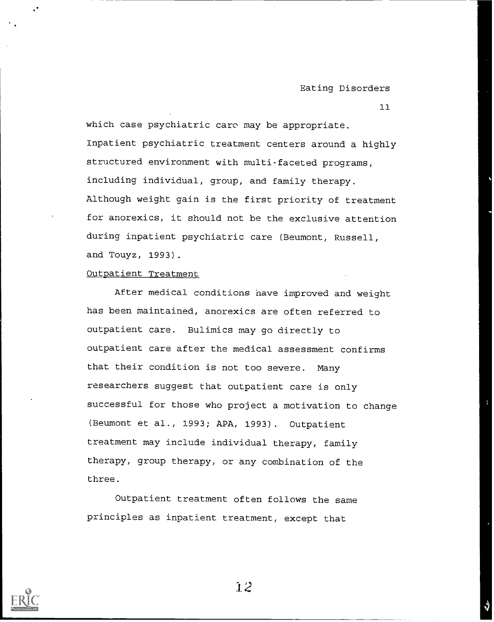which case psychiatric care may be appropriate. Inpatient psychiatric treatment centers around a highly structured environment with multi-faceted programs, including individual, group, and family therapy. Although weight gain is the first priority of treatment for anorexics, it should not be the exclusive attention during inpatient psychiatric care (Beumont, Russell, and Touyz, 1993).

#### Outpatient Treatment

After medical conditions have improved and weight has been maintained, anorexics are often referred to outpatient care. Bulimics may go directly to outpatient care after the medical assessment confirms that their condition is not too severe. Many researchers suggest that outpatient care is only successful for those who project a motivation to change (Beumont et al., 1993; APA, 1993). Outpatient treatment may include individual therapy, family therapy, group therapy, or any combination of the three.

Outpatient treatment often follows the same principles as inpatient treatment, except that

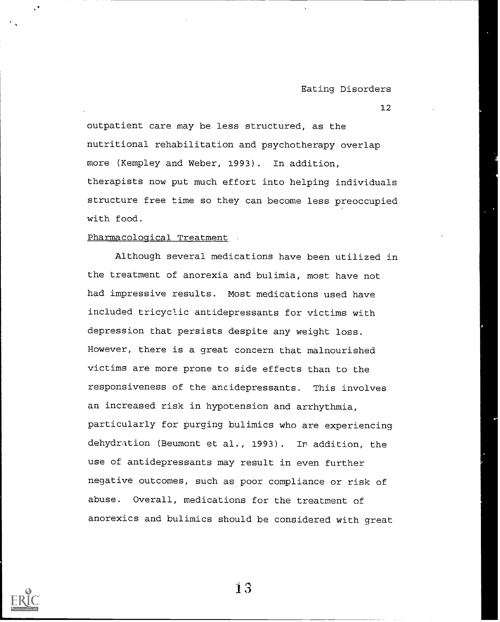outpatient care may be less structured, as the nutritional rehabilitation and psychotherapy overlap more (Kempley and Weber, 1993). In addition, therapists now put much effort into helping individuals structure free time so they can become less preoccupied with food.

## Pharmacological Treatment

Although several medications have been utilized in the treatment of anorexia and bulimia, most have not had impressive results. Most medications used have included tricyclic antidepressants for victims with depression that persists despite any weight loss. However, there is a great concern that malnourished victims are more prone to side effects than to the responsiveness of the antidepressants. This involves an increased risk in hypotension and arrhythmia, particularly for purging bulimics who are experiencing dehydration (Beumont et al., 1993). Ir addition, the use of antidepressants may result in even further negative outcomes, such as poor compliance or risk of abuse. Overall, medications for the treatment of anorexics and bulimics should be considered with great



1,3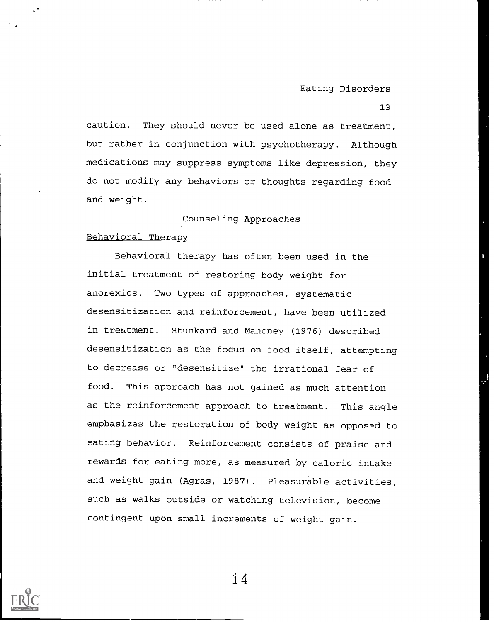caution. They should never be used alone as treatment, but rather in conjunction with psychotherapy. Although medications may suppress symptoms like depression, they do not modify any behaviors or thoughts regarding food and weight.

# Counseling Approaches

## Behavioral Therapy

Behavioral therapy has often been used in the initial treatment of restoring body weight for anorexics. Two types of approaches, systematic desensitization and reinforcement, have been utilized in treatment. Stunkard and Mahoney (1976) described desensitization as the focus on food itself, attempting to decrease or "desensitize" the irrational fear of food. This approach has not gained as much attention as the reinforcement approach to treatment. This angle emphasizes the restoration of body weight as opposed to eating behavior. Reinforcement consists of praise and rewards for eating more, as measured by caloric intake and weight gain (Agras, 1987). Pleasurable activities, such as walks outside or watching television, become contingent upon small increments of weight gain.

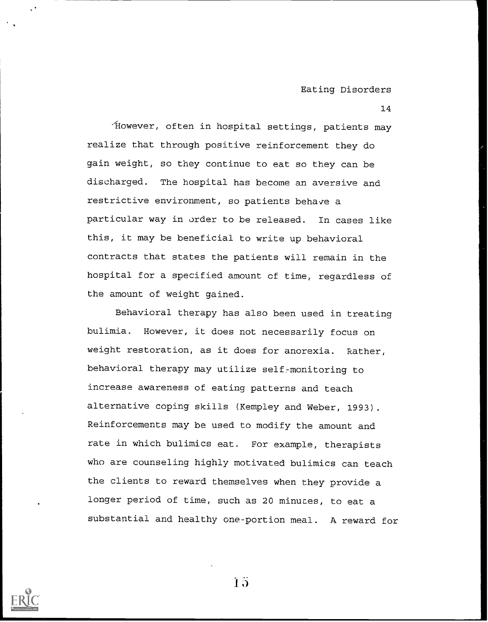14

'However, often in hospital settings, patients may realize that through positive reinforcement they do gain weight, so they continue to eat so they can be discharged. The hospital has become an aversive and restrictive environment, so patients behave a particular way in order to be released. In cases like this, it may be beneficial to write up behavioral contracts that states the patients will remain in the hospital for a specified amount of time, regardless of the amount of weight gained.

Behavioral therapy has also been used in treating bulimia. However, it does not necessarily focus on weight restoration, as it does for anorexia. Rather, behavioral therapy may utilize self-monitoring to increase awareness of eating patterns and teach alternative coping skills (Kempley and Weber, 1993). Reinforcements may be used to modify the amount and rate in which bulimics eat. For example, therapists who are counseling highly motivated bulimics can teach the clients to reward themselves when they provide a longer period of time, such as 20 minuces, to eat a substantial and healthy one-portion meal. A reward for



 $\overline{15}$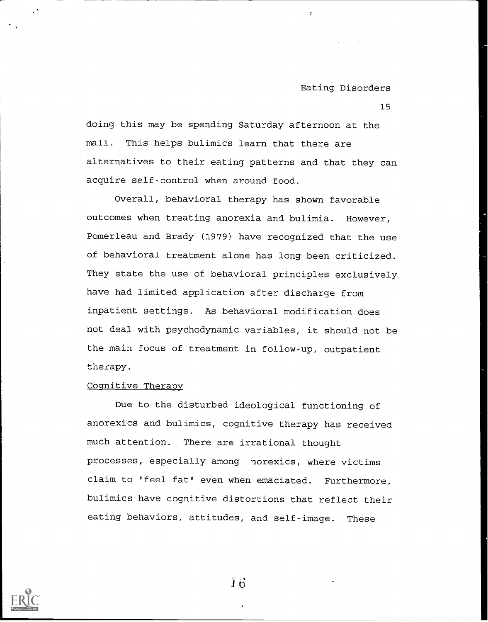$\mathbf{r}$ 

15

doing this may be spending Saturday afternoon at the mall. This helps bulimics learn that there are alternatives to their eating patterns and that they can acquire self-control when around food.

Overall, behavioral therapy has shown favorable outcomes when treating anorexia and bulimia. However, Pomerleau and Brady (1979) have recognized that the use of behavioral treatment alone has long been criticized. They state the use of behavioral principles exclusively have had limited application after discharge from inpatient settings. As behavioral modification does not deal with psychodynamic variables, it should not be the main focus of treatment in follow-up, outpatient therapy.

# Cognitive Therapy

Due to the disturbed ideological functioning of anorexics and bulimics, cognitive therapy has received much attention. There are irrational thought processes, especially among norexics, where victims claim to "feel fat" even when emaciated. Furthermore, bulimics have cognitive distortions that reflect their eating behaviors, attitudes, and self-image. These



 $\vec{1}$   $\vec{6}$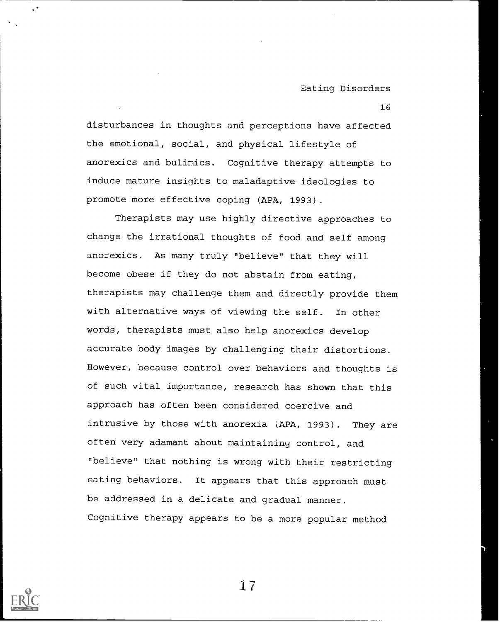16

disturbances in thoughts and perceptions have affected the emotional, social, and physical lifestyle of anorexics and bulimics. Cognitive therapy attempts to induce mature insights to maladaptive ideologies to promote more effective coping (APA, 1993).

Therapists may use highly directive approaches to change the irrational thoughts of food and self among anorexics. As many truly "believe" that they will become obese if they do not abstain from eating, therapists may challenge them and directly provide them with alternative ways of viewing the self. In other words, therapists must also help anorexics develop accurate body images by challenging their distortions. However, because control over behaviors and thoughts is of such vital importance, research has shown that this approach has often been considered coercive and intrusive by those with anorexia (APA, 1993). They are often very adamant about maintaining control, and "believe" that nothing is wrong with their restricting eating behaviors. It appears that this approach must be addressed in a delicate and gradual manner. Cognitive therapy appears to be a more popular method

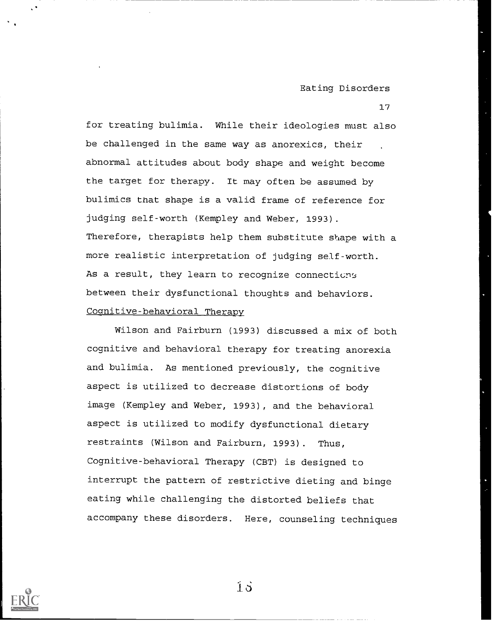17

for treating bulimia. While their ideologies must also be challenged in the same way as anorexics, their abnormal attitudes about body shape and weight become the target for therapy. It may often be assumed by bulimics that shape is a valid frame of reference for judging self-worth (Kempley and Weber, 1993). Therefore, therapists help them substitute shape with a more realistic interpretation of judging self-worth. As a result, they learn to recognize connections between their dysfunctional thoughts and behaviors. Cognitive-behavioral Therapy

Wilson and Fairburn (1993) discussed a mix of both cognitive and behavioral therapy for treating anorexia and bulimia. As mentioned previously, the cognitive aspect is utilized to decrease distortions of body image (Kempley and Weber, 1993), and the behavioral aspect is utilized to modify dysfunctional dietary restraints (Wilson and Fairburn, 1993). Thus, Cognitive-behavioral Therapy (CBT) is designed to interrupt the pattern of restrictive dieting and binge eating while challenging the distorted beliefs that accompany these disorders. Here, counseling techniques



 $\vec{1}$   $\vec{o}$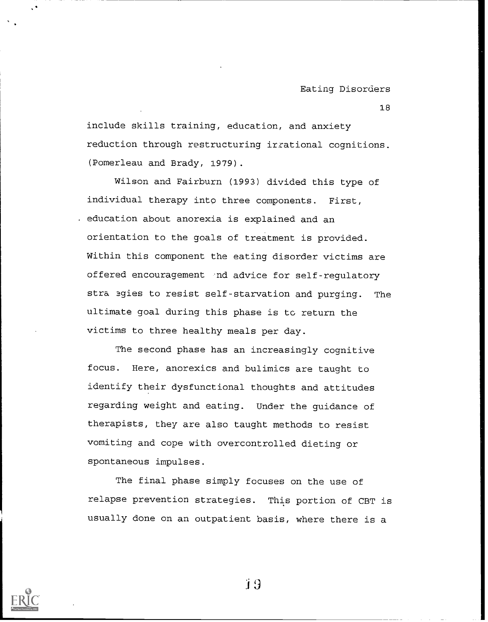include skills training, education, and anxiety reduction through restructuring irrational cognitions. (Pomerleau and Brady, 1979).

Wilson and Fairburn (1993) divided this type of individual therapy into three components. First, education about anorexia is explained and an orientation to the goals of treatment is provided. Within this component the eating disorder victims are offered encouragement and advice for self-regulatory stra egies to resist self-starvation and purging. The ultimate goal during this phase is to return the victims to three healthy meals per day.

The second phase has an increasingly cognitive focus. Here, anorexics and bulimics are taught to identify their dysfunctional thoughts and attitudes regarding weight and eating. Under the guidance of therapists, they are also taught methods to resist vomiting and cope with overcontrolled dieting or spontaneous impulses.

The final phase simply focuses on the use of relapse prevention strategies. This portion of CBT is usually done on an outpatient basis, where there is a

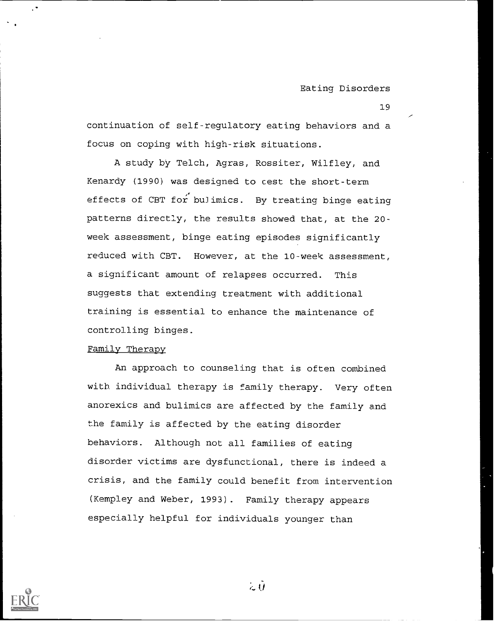continuation of self-regulatory eating behaviors and a focus on coping with high-risk situations.

A study by Telch, Agras, Rossiter, Wilfley, and Kenardy (1990) was designed to cest the short-term effects of CBT for bulimics. By treating binge eating patterns directly, the results showed that, at the 20 week assessment, binge eating episodes significantly reduced with CBT. However, at the 10-week assessment, a significant amount of relapses occurred. This suggests that extending treatment with additional training is essential to enhance the maintenance of controlling binges.

#### Family Therapy

An approach to counseling that is often combined with individual therapy is family therapy. Very often anorexics and bulimics are affected by the family and the family is affected by the eating disorder behaviors. Although not all families of eating disorder victims are dysfunctional, there is indeed a crisis, and the family could benefit from intervention (Kempley and Weber, 1993). Family therapy appears especially helpful for individuals younger than



 $\sim 0$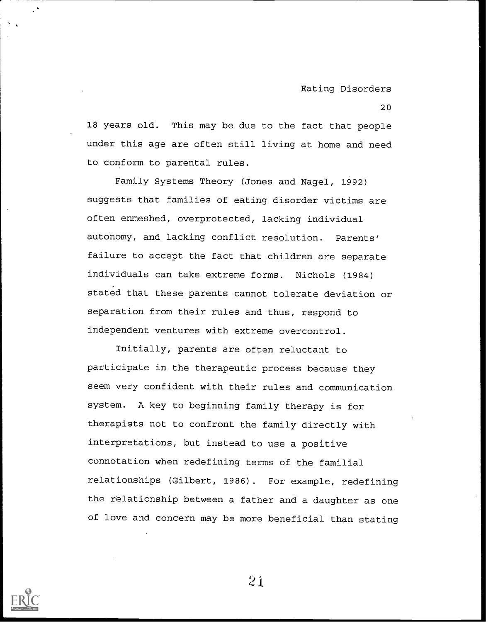18 years old. This may be due to the fact that people under this age are often still living at home and need to conform to parental rules.

Family Systems Theory (Jones and Nagel, 1992) suggests that families of eating disorder victims are often enmeshed, overprotected, lacking individual autonomy, and lacking conflict resolution. Parents' failure to accept the fact that children are separate individuals can take extreme forms. Nichols (1984) stated that these parents cannot tolerate deviation or separation from their rules and thus, respond to independent ventures with extreme overcontrol.

Initially, parents are often reluctant to participate in the therapeutic process because they seem very confident with their rules and communication system. A key to beginning family therapy is for therapists not to confront the family directly with interpretations, but instead to use a positive connotation when redefining terms of the familial relationships (Gilbert, 1986). For example, redefining the relationship between a father and a daughter as one of love and concern may be more beneficial than stating

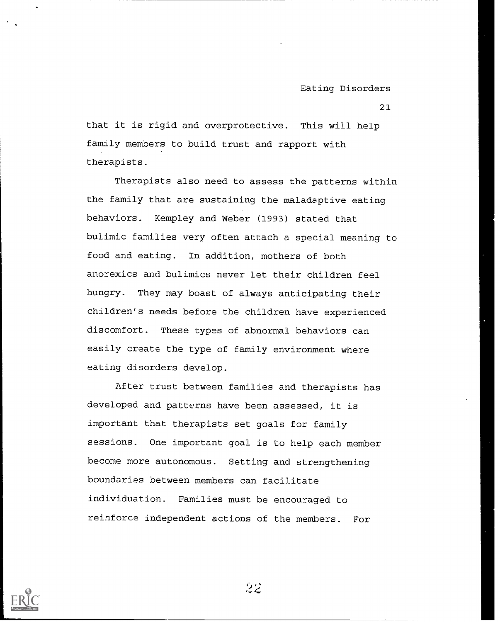21

that it is rigid and overprotective. This will help family members to build trust and rapport with therapists.

Therapists also need to assess the patterns within the family that are sustaining the maladaptive eating behaviors. Kempley and Weber (1993) stated that bulimic families very often attach a special meaning to food and eating. In addition, mothers of both anorexics and bulimics never let their children feel hungry. They may boast of always anticipating their children's needs before the children have experienced discomfort. These types of abnormal behaviors can easily create the type of family environment where eating disorders develop.

After trust between families and therapists has developed and patterns have been assessed, it is important that therapists set goals for family sessions. One important goal is to help each member become more autonomous. Setting and strengthening boundaries between members can facilitate individuation. Families must be encouraged to reinforce independent actions of the members. For

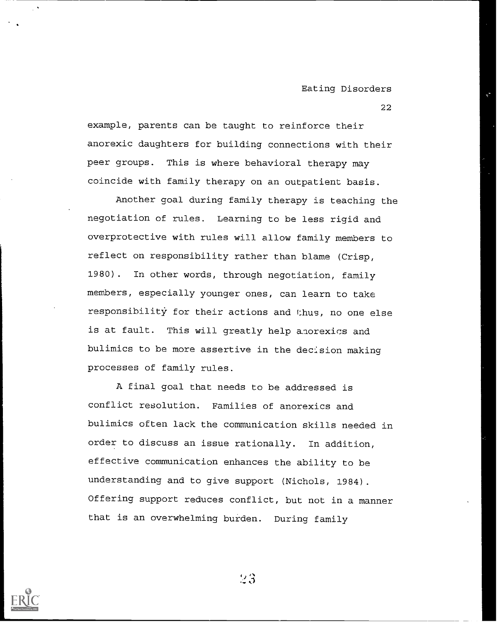example, parents can be taught to reinforce their anorexic daughters for building connections with their peer groups. This is where behavioral therapy may coincide with family therapy on an outpatient basis.

Another goal during family therapy is teaching the negotiation of rules. Learning to be less rigid and overprotective with rules will allow family members to reflect on responsibility rather than blame (Crisp, 1980). In other words, through negotiation, family members, especially younger ones, can learn to take responsibility for their actions and thus, no one else is at fault. This will greatly help anorexics and bulimics to be more assertive in the decision making processes of family rules.

A final goal that needs to be addressed is conflict resolution. Families of anorexics and bulimics often lack the communication skills needed in order to discuss an issue rationally. In addition, effective communication enhances the ability to be understanding and to give support (Nichols, 1984). Offering support reduces conflict, but not in a manner that is an overwhelming burden. During family

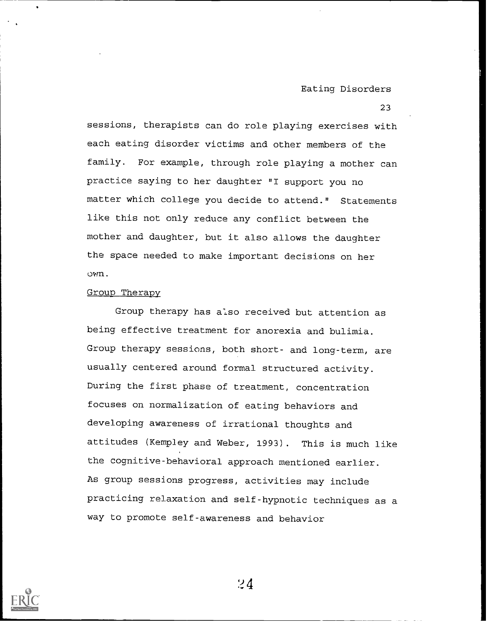23

sessions, therapists can do role playing exercises with each eating disorder victims and other members of the family. For example, through role playing a mother can practice saying to her daughter "I support you no matter which college you decide to attend." Statements like this not only reduce any conflict between the mother and daughter, but it also allows the daughter the space needed to make important decisions on her own.

#### Group Therapy

Group therapy has also received but attention as being effective treatment for anorexia and bulimia. Group therapy sessions, both short- and long-term, are usually centered around formal structured activity. During the first phase of treatment, concentration focuses on normalization of eating behaviors and developing awareness of irrational thoughts and attitudes (Kempley and Weber, 1993). This is much like the cognitive-behavioral approach mentioned earlier. As group sessions progress, activities may include practicing relaxation and self-hypnotic techniques as a way to promote self-awareness and behavior

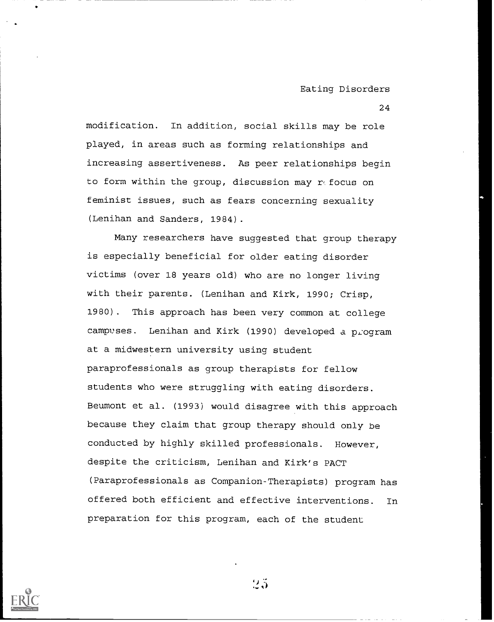24

modification. In addition, social skills may be role played, in areas such as forming relationships and increasing assertiveness. As peer relationships begin to form within the group, discussion may  $r \in \mathfrak{f}$  ocus on feminist issues, such as fears concerning sexuality (Lenihan and Sanders, 1984).

Many researchers have suggested that group therapy is especially beneficial for older eating disorder victims (over 18 years old) who are no longer living with their parents. (Lenihan and Kirk, 1990; Crisp, 1980). This approach has been very common at college campuses. Lenihan and Kirk (1990) developed a program at a midwestern university using student paraprofessionals as group therapists for fellow students who were struggling with eating disorders. Beumont et al. (1993) would disagree with this approach because they claim that group therapy should only be conducted by highly skilled professionals. However, despite the criticism, Lenihan and Kirk's PACT (Paraprofessionals as Companion-Therapists) program has offered both efficient and effective interventions. In preparation for this program, each of the student

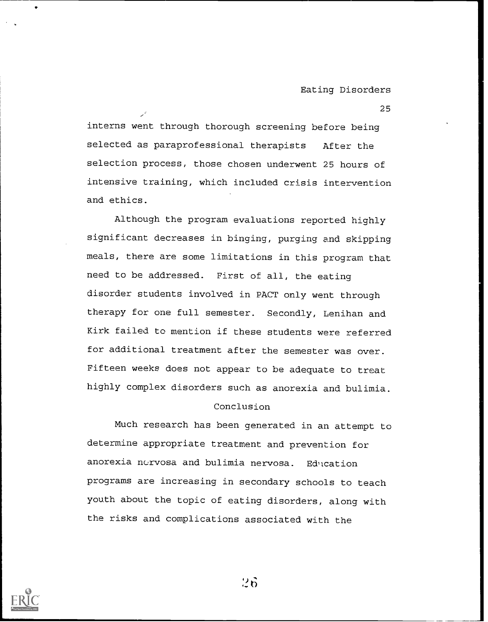25

interns went through thorough screening before being selected as paraprofessional therapists After the selection process, those chosen underwent 25 hours of intensive training, which included crisis intervention and ethics.

Although the program evaluations reported highly significant decreases in binging, purging and skipping meals, there are some limitations in this program that need to be addressed. First of all, the eating disorder students involved in PACT only went through therapy for one full semester. Secondly, Lenihan and Kirk failed to mention if these students were referred for additional treatment after the semester was over. Fifteen weeks does not appear to be adequate to treat highly complex disorders such as anorexia and bulimia.

## Conclusion

Much research has been generated in an attempt to determine appropriate treatment and prevention for anorexia nervosa and bulimia nervosa. Education programs are increasing in secondary schools to teach youth about the topic of eating disorders, along with the risks and complications associated with the

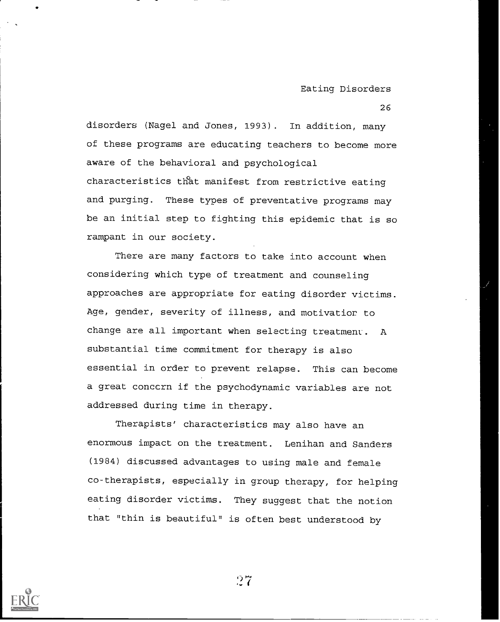disorders (Nagel and Jones, 1993). In addition, many of these programs are educating teachers to become more aware of the behavioral and psychological characteristics that manifest from restrictive eating and purging. These types of preventative programs may be an initial step to fighting this epidemic that is so rampant in our society.

There are many factors to take into account when considering which type of treatment and counseling approaches are appropriate for eating disorder victims. Age, gender, severity of illness, and motivatior to change are all important when selecting treatment. A substantial time commitment for therapy is also essential in order to prevent relapse. This can become a great concern if the psychodynamic variables are not addressed during time in therapy.

Therapists' characteristics may also have an enormous impact on the treatment. Lenihan and Sanders (1984) discussed advantages to using male and female co-therapists, especially in group therapy, for helping eating disorder victims. They suggest that the notion that "thin is beautiful" is often best understood by

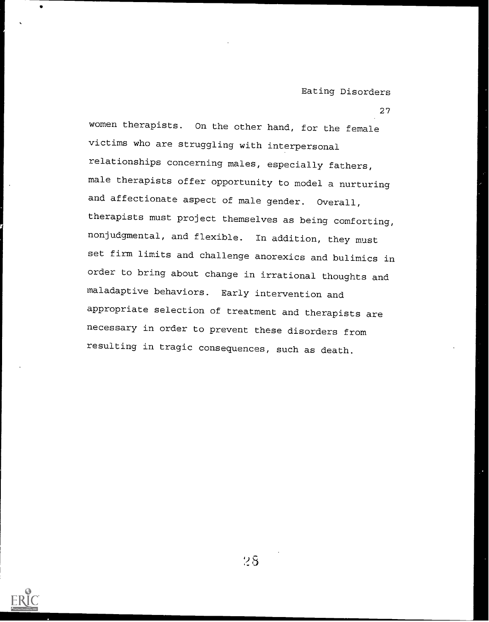women therapists. On the other hand, for the female victims who are struggling with interpersonal relationships concerning males, especially fathers, male therapists offer opportunity to model a nurturing and affectionate aspect of male gender. Overall, therapists must project themselves as being comforting, nonjudgmental, and flexible. In addition, they must set firm limits and challenge anorexics and bulimics in order to bring about change in irrational thoughts and maladaptive behaviors. Early intervention and appropriate selection of treatment and therapists are necessary in order to prevent these disorders from resulting in tragic consequences, such as death.

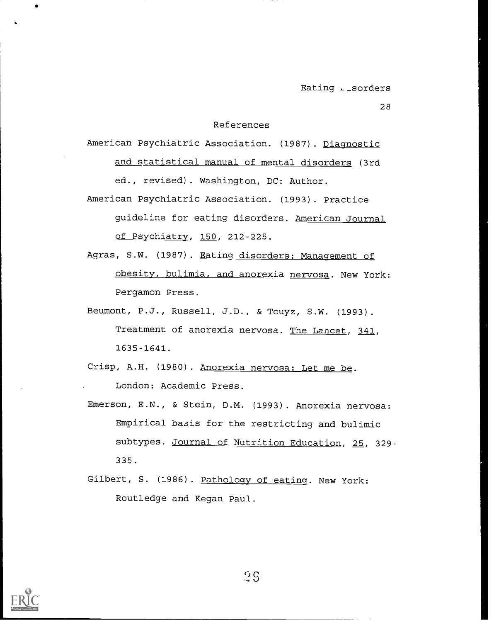#### References

American Psychiatric Association. (1987). Diagnostic and statistical manual of mental disorders (3rd ed., revised). Washington, DC: Author.

- American Psychiatric Association. (1993). Practice guideline for eating disorders. American Journal of Psychiatry, 150, 212-225.
- Agras, S.W. (1987). Eating disorders: Management of obesity, bulimia, and anorexia nervosa. New York: Pergamon Press.
- Beumont, P.J., Russell, J.D., & Touyz, S.W. (1993). Treatment of anorexia nervosa. The Lancet, 341, 1635-1641.
- Crisp, A.H. (1980). Anorexia nervosa: Let me be. London: Academic Press.
- Emerson, E.N., & Stein, D.M. (1993). Anorexia nervosa: Empirical basis for the restricting and bulimic subtypes. Journal of Nutrition Education, 25, 329-335.
- Gilbert, S. (1986). Pathology of eating. New York: Routledge and Kegan Paul.

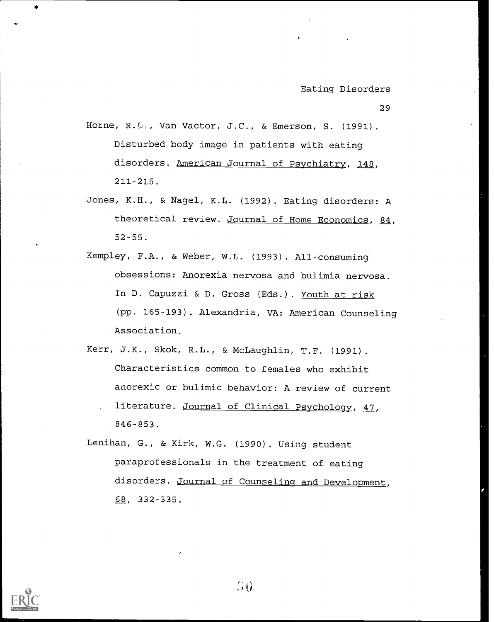- Horne, R.L., Van Vactor, J.C., & Emerson, S. (1991). Disturbed body image in patients with eating disorders. American Journal of Psychiatry, 148, 211-215.
- Jones, K.H., & Nagel, K.L. (1992). Eating disorders: A theoretical review. Journal of Home Economics, 84, 52-55.
- Kempley, F.A., & Weber, W.L. (1993). All-consuming obsessions: Anorexia nervosa and bulimia nervosa. In D. Capuzzi & D. Gross (Eds.). Youth at risk (pp. 165-193). Alexandria, VA: American Counseling Association.
- Kerr, J.K., Skok, R.L., & McLaughlin, T.F. (1991). Characteristics common to females who exhibit anorexic or bulimic behavior: A review of current literature. Journal of Clinical Psychology, 47,
	- 846-853.
- Lenihan, G., & Kirk, W.G. (1990). Using student paraprofessionals in the treatment of eating disorders. Journal of Counseling and Development, 68, 332-335.

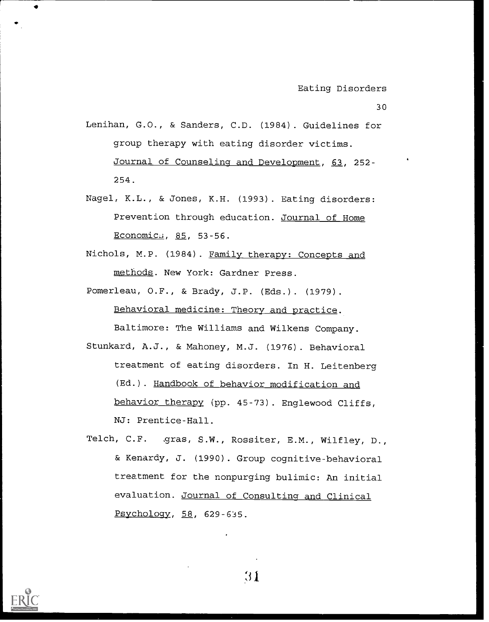- Lenihan, G.O., & Sanders, C.D. (1984). Guidelines for group therapy with eating disorder victims. Journal of Counseling and Development, 63, 252- 254.
- Nagel, K.L., & Jones, K.H. (1993). Eating disorders: Prevention through education. Journal of Home Economics, 85, 53-56.
- Nichols, M.P. (1984). Family therapy: Concepts and methods. New York: Gardner Press.
- Pomerleau, 0.F., & Brady, J.P. (Eds.). (1979). Behavioral medicine: Theory and practice.

Baltimore: The Williams and Wilkens Company. Stunkard, A.J., & Mahoney, M.J. (1976). Behavioral treatment of eating disorders. In H. Leitenberg (Ed.). Handbook of behavior modification and behavior therapy (pp. 45-73). Englewood Cliffs, NJ: Prentice-Hall.

Telch, C.F. gras, S.W., Rossiter, E.M., Wilfley, D., & Kenardy, J. (1990). Group cognitive-behavioral treatment for the nonpurging bulimic: An initial evaluation. Journal of Consulting and Clinical Psychology, 58, 629-635.